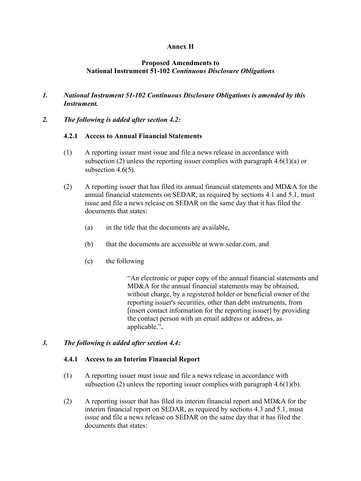# **Annex H**

## **Proposed Amendments to National Instrument 51-102** *Continuous Disclosure Obligations*

# *1. National Instrument 51-102 Continuous Disclosure Obligations is amended by this Instrument.*

*2. The following is added after section 4.2:*

## **4.2.1 Access to Annual Financial Statements**

- (1) A reporting issuer must issue and file a news release in accordance with subsection (2) unless the reporting issuer complies with paragraph  $4.6(1)(a)$  or subsection 4.6(5).
- (2) A reporting issuer that has filed its annual financial statements and MD&A for the annual financial statements on SEDAR, as required by sections 4.1 and 5.1, must issue and file a news release on SEDAR on the same day that it has filed the documents that states:
	- (a) in the title that the documents are available,
	- (b) that the documents are accessible at www.sedar.com, and
	- (c) the following

"An electronic or paper copy of the annual financial statements and MD&A for the annual financial statements may be obtained, without charge, by a registered holder or beneficial owner of the reporting issuer's securities, other than debt instruments, from [insert contact information for the reporting issuer] by providing the contact person with an email address or address, as applicable."**.**

### *3. The following is added after section 4.4:*

### **4.4.1 Access to an Interim Financial Report**

- (1) A reporting issuer must issue and file a news release in accordance with subsection (2) unless the reporting issuer complies with paragraph  $4.6(1)(b)$ .
- (2) A reporting issuer that has filed its interim financial report and MD&A for the interim financial report on SEDAR, as required by sections 4.3 and 5.1, must issue and file a news release on SEDAR on the same day that it has filed the documents that states: